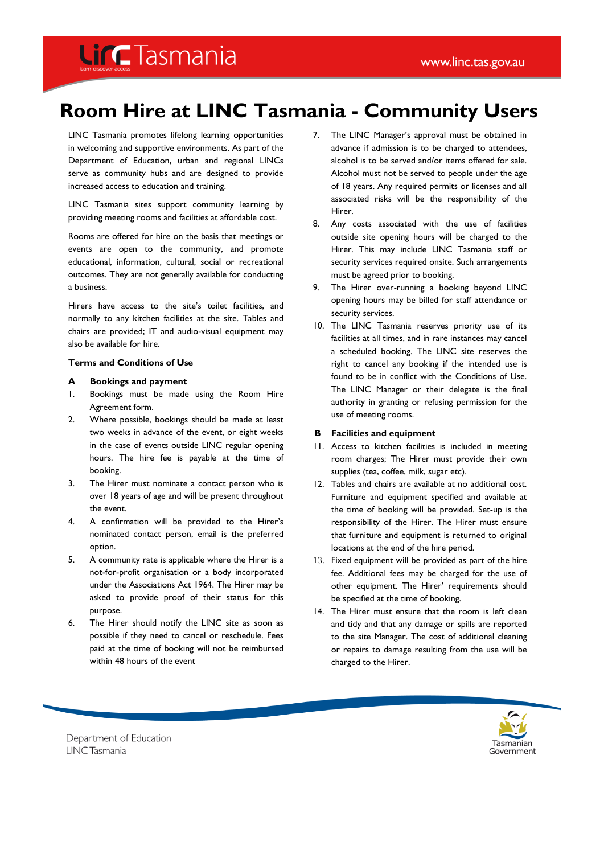## **Lind**Tasmania

### **Room Hire at LINC Tasmania - Community Users**

LINC Tasmania promotes lifelong learning opportunities in welcoming and supportive environments. As part of the Department of Education, urban and regional LINCs serve as community hubs and are designed to provide increased access to education and training.

LINC Tasmania sites support community learning by providing meeting rooms and facilities at affordable cost.

Rooms are offered for hire on the basis that meetings or events are open to the community, and promote educational, information, cultural, social or recreational outcomes. They are not generally available for conducting a business.

Hirers have access to the site's toilet facilities, and normally to any kitchen facilities at the site. Tables and chairs are provided; IT and audio-visual equipment may also be available for hire.

#### **Terms and Conditions of Use**

#### **A Bookings and payment**

- 1. Bookings must be made using the Room Hire Agreement form.
- 2. Where possible, bookings should be made at least two weeks in advance of the event, or eight weeks in the case of events outside LINC regular opening hours. The hire fee is payable at the time of booking.
- 3. The Hirer must nominate a contact person who is over 18 years of age and will be present throughout the event.
- 4. A confirmation will be provided to the Hirer's nominated contact person, email is the preferred option.
- 5. A community rate is applicable where the Hirer is a not-for-profit organisation or a body incorporated under the Associations Act 1964. The Hirer may be asked to provide proof of their status for this purpose.
- 6. The Hirer should notify the LINC site as soon as possible if they need to cancel or reschedule. Fees paid at the time of booking will not be reimbursed within 48 hours of the event
- 7. The LINC Manager's approval must be obtained in advance if admission is to be charged to attendees, alcohol is to be served and/or items offered for sale. Alcohol must not be served to people under the age of 18 years. Any required permits or licenses and all associated risks will be the responsibility of the Hirer.
- 8. Any costs associated with the use of facilities outside site opening hours will be charged to the Hirer. This may include LINC Tasmania staff or security services required onsite. Such arrangements must be agreed prior to booking.
- 9. The Hirer over-running a booking beyond LINC opening hours may be billed for staff attendance or security services.
- 10. The LINC Tasmania reserves priority use of its facilities at all times, and in rare instances may cancel a scheduled booking. The LINC site reserves the right to cancel any booking if the intended use is found to be in conflict with the Conditions of Use. The LINC Manager or their delegate is the final authority in granting or refusing permission for the use of meeting rooms.

#### **B Facilities and equipment**

- 11. Access to kitchen facilities is included in meeting room charges; The Hirer must provide their own supplies (tea, coffee, milk, sugar etc).
- 12. Tables and chairs are available at no additional cost. Furniture and equipment specified and available at the time of booking will be provided. Set-up is the responsibility of the Hirer. The Hirer must ensure that furniture and equipment is returned to original locations at the end of the hire period.
- 13. Fixed equipment will be provided as part of the hire fee. Additional fees may be charged for the use of other equipment. The Hirer' requirements should be specified at the time of booking.
- 14. The Hirer must ensure that the room is left clean and tidy and that any damage or spills are reported to the site Manager. The cost of additional cleaning or repairs to damage resulting from the use will be charged to the Hirer.



Department of Education **LINCTasmania**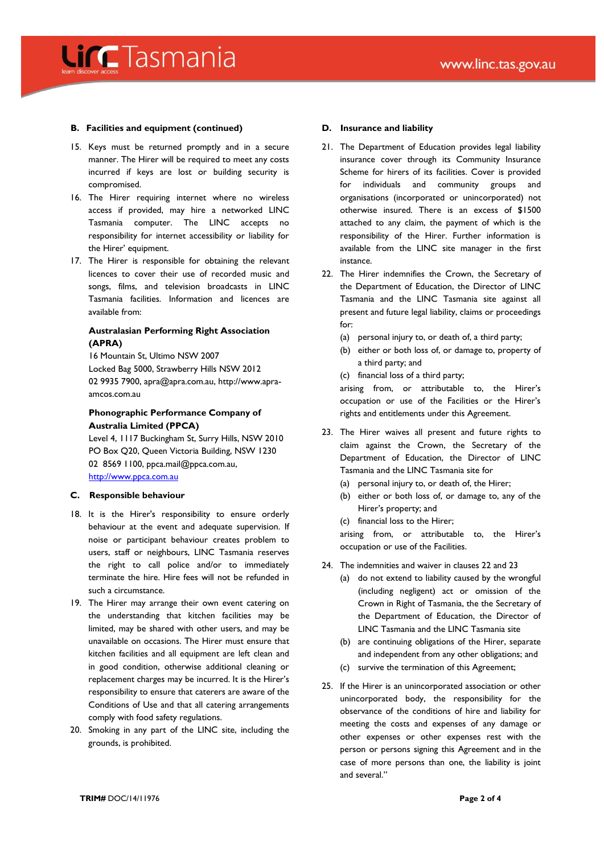## **Lind**Tasmania

#### **B. Facilities and equipment (continued)**

- 15. Keys must be returned promptly and in a secure manner. The Hirer will be required to meet any costs incurred if keys are lost or building security is compromised.
- 16. The Hirer requiring internet where no wireless access if provided, may hire a networked LINC Tasmania computer. The LINC accepts no responsibility for internet accessibility or liability for the Hirer' equipment.
- 17. The Hirer is responsible for obtaining the relevant licences to cover their use of recorded music and songs, films, and television broadcasts in LINC Tasmania facilities. Information and licences are available from:

#### **[Australasian Performing Right Association](http://www.apra-amcos.com.au/default.aspx)  [\(APRA\)](http://www.apra-amcos.com.au/default.aspx)**

16 Mountain St, Ultimo NSW 2007 Locked Bag 5000, Strawberry Hills NSW 2012 02 9935 7900, [apra@apra.com.au,](javascript:sendEmail() http://www.apraamcos.com.au

#### **[Phonographic Performance Company of](http://www.ppca.com.au/Contact/)  [Australia Limited](http://www.ppca.com.au/Contact/) (PPCA)**

Level 4, 1117 Buckingham St, Surry Hills, NSW 2010 PO Box Q20, Queen Victoria Building, NSW 1230 02 8569 1100[, ppca.mail@ppca.com.au,](mailto:ppca.mail@ppca.com.au)  [http://www.ppca.com.au](http://www.ppca.com.au/)

#### **C. Responsible behaviour**

- 18. It is the Hirer's responsibility to ensure orderly behaviour at the event and adequate supervision. If noise or participant behaviour creates problem to users, staff or neighbours, LINC Tasmania reserves the right to call police and/or to immediately terminate the hire. Hire fees will not be refunded in such a circumstance.
- 19. The Hirer may arrange their own event catering on the understanding that kitchen facilities may be limited, may be shared with other users, and may be unavailable on occasions. The Hirer must ensure that kitchen facilities and all equipment are left clean and in good condition, otherwise additional cleaning or replacement charges may be incurred. It is the Hirer's responsibility to ensure that caterers are aware of the Conditions of Use and that all catering arrangements comply with food safety regulations.
- 20. Smoking in any part of the LINC site, including the grounds, is prohibited.

#### **D. Insurance and liability**

- 21. The Department of Education provides legal liability insurance cover through its Community Insurance Scheme for hirers of its facilities. Cover is provided for individuals and community groups and organisations (incorporated or unincorporated) not otherwise insured. There is an excess of \$1500 attached to any claim, the payment of which is the responsibility of the Hirer. Further information is available from the LINC site manager in the first instance.
- 22. The Hirer indemnifies the Crown, the Secretary of the Department of Education, the Director of LINC Tasmania and the LINC Tasmania site against all present and future legal liability, claims or proceedings for:
	- (a) personal injury to, or death of, a third party;
	- (b) either or both loss of, or damage to, property of a third party; and
	- (c) financial loss of a third party;

arising from, or attributable to, the Hirer's occupation or use of the Facilities or the Hirer's rights and entitlements under this Agreement.

- 23. The Hirer waives all present and future rights to claim against the Crown, the Secretary of the Department of Education, the Director of LINC Tasmania and the LINC Tasmania site for
	- (a) personal injury to, or death of, the Hirer;
	- (b) either or both loss of, or damage to, any of the Hirer's property; and
	- (c) financial loss to the Hirer;

arising from, or attributable to, the Hirer's occupation or use of the Facilities.

- 24. The indemnities and waiver in clauses 22 and 23
	- (a) do not extend to liability caused by the wrongful (including negligent) act or omission of the Crown in Right of Tasmania, the the Secretary of the Department of Education, the Director of LINC Tasmania and the LINC Tasmania site
	- (b) are continuing obligations of the Hirer, separate and independent from any other obligations; and
	- (c) survive the termination of this Agreement;
- 25. If the Hirer is an unincorporated association or other unincorporated body, the responsibility for the observance of the conditions of hire and liability for meeting the costs and expenses of any damage or other expenses or other expenses rest with the person or persons signing this Agreement and in the case of more persons than one, the liability is joint and several."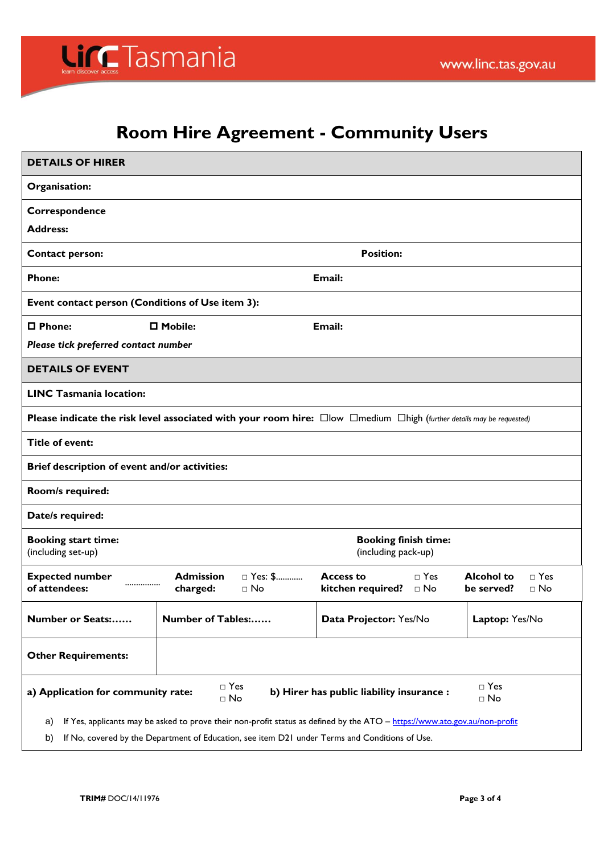# LincTasmania

### **Room Hire Agreement - Community Users**

| <b>DETAILS OF HIRER</b>                                                                                                                                                                                                                  |                                                                                                                             |  |  |  |  |
|------------------------------------------------------------------------------------------------------------------------------------------------------------------------------------------------------------------------------------------|-----------------------------------------------------------------------------------------------------------------------------|--|--|--|--|
| Organisation:                                                                                                                                                                                                                            |                                                                                                                             |  |  |  |  |
| Correspondence                                                                                                                                                                                                                           |                                                                                                                             |  |  |  |  |
| <b>Address:</b>                                                                                                                                                                                                                          |                                                                                                                             |  |  |  |  |
| <b>Contact person:</b>                                                                                                                                                                                                                   | <b>Position:</b>                                                                                                            |  |  |  |  |
| <b>Phone:</b>                                                                                                                                                                                                                            | Email:                                                                                                                      |  |  |  |  |
| Event contact person (Conditions of Use item 3):                                                                                                                                                                                         |                                                                                                                             |  |  |  |  |
| $\square$ Phone:<br>$\square$ Mobile:                                                                                                                                                                                                    | Email:                                                                                                                      |  |  |  |  |
| Please tick preferred contact number                                                                                                                                                                                                     |                                                                                                                             |  |  |  |  |
| <b>DETAILS OF EVENT</b>                                                                                                                                                                                                                  |                                                                                                                             |  |  |  |  |
| <b>LINC Tasmania location:</b>                                                                                                                                                                                                           |                                                                                                                             |  |  |  |  |
| Please indicate the risk level associated with your room hire: $\square$ low $\square$ medium $\square$ high (further details may be requested)                                                                                          |                                                                                                                             |  |  |  |  |
| <b>Title of event:</b>                                                                                                                                                                                                                   |                                                                                                                             |  |  |  |  |
| Brief description of event and/or activities:                                                                                                                                                                                            |                                                                                                                             |  |  |  |  |
| Room/s required:                                                                                                                                                                                                                         |                                                                                                                             |  |  |  |  |
| Date/s required:                                                                                                                                                                                                                         |                                                                                                                             |  |  |  |  |
| <b>Booking start time:</b><br>(including set-up)                                                                                                                                                                                         | <b>Booking finish time:</b><br>(including pack-up)                                                                          |  |  |  |  |
| <b>Expected number</b><br><b>Admission</b><br>□ Yes: \$<br><br>of attendees:<br>charged:<br>$\Box$ No                                                                                                                                    | <b>Alcohol to</b><br>$\sqcap$ Yes<br>$\sqcap$ Yes<br>Access to<br>kitchen required?<br>$\Box$ No<br>be served?<br>$\Box$ No |  |  |  |  |
| Number of Tables:<br>Number or Seats:                                                                                                                                                                                                    | Data Projector: Yes/No<br>Laptop: Yes/No                                                                                    |  |  |  |  |
| <b>Other Requirements:</b>                                                                                                                                                                                                               |                                                                                                                             |  |  |  |  |
| $\Box$ Yes<br>$\Box$ Yes<br>a) Application for community rate:<br>b) Hirer has public liability insurance :<br>$\square$ No<br>$\square$ No                                                                                              |                                                                                                                             |  |  |  |  |
| If Yes, applicants may be asked to prove their non-profit status as defined by the ATO - https://www.ato.gov.au/non-profit<br>a)<br>If No, covered by the Department of Education, see item D21 under Terms and Conditions of Use.<br>b) |                                                                                                                             |  |  |  |  |